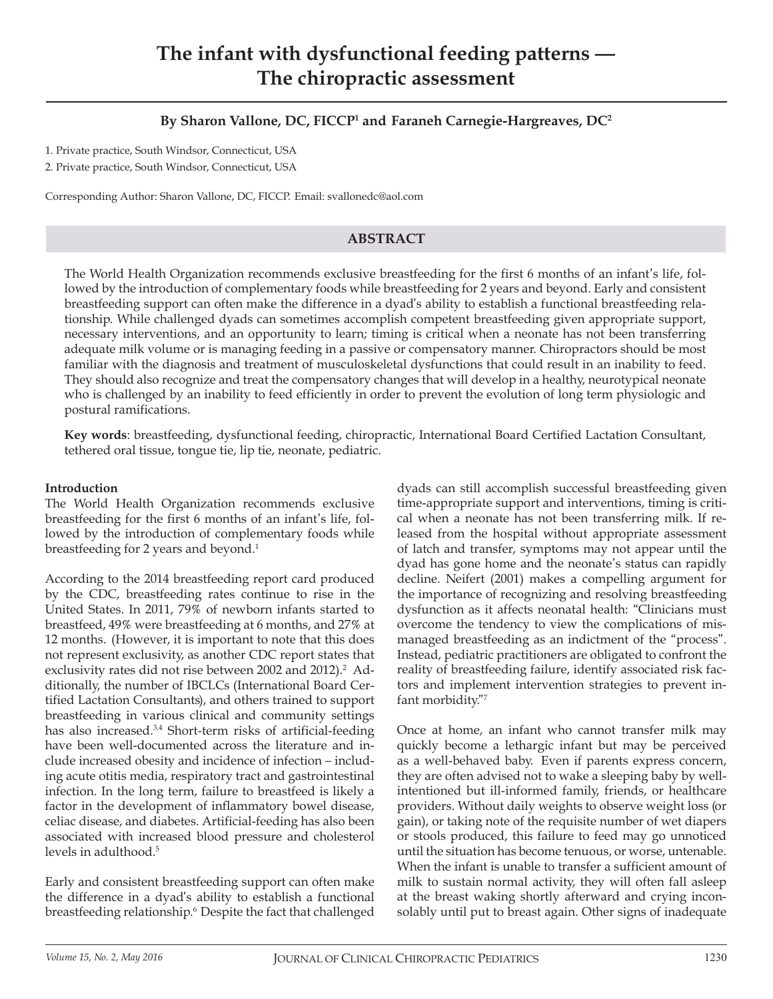# **The infant with dysfunctional feeding patterns – The chiropractic assessment**

# **By Sharon Vallone, DC, FICCP1 and Faraneh Carnegie-Hargreaves, DC2**

1. Private practice, South Windsor, Connecticut, USA

2. Private practice, South Windsor, Connecticut, USA

Corresponding Author: Sharon Vallone, DC, FICCP. Email: svallonedc@aol.com

#### **ABSTRACT**

The World Health Organization recommends exclusive breastfeeding for the first 6 months of an infant's life, followed by the introduction of complementary foods while breastfeeding for 2 years and beyond. Early and consistent breastfeeding support can often make the difference in a dyad's ability to establish a functional breastfeeding relationship. While challenged dyads can sometimes accomplish competent breastfeeding given appropriate support, necessary interventions, and an opportunity to learn; timing is critical when a neonate has not been transferring adequate milk volume or is managing feeding in a passive or compensatory manner. Chiropractors should be most familiar with the diagnosis and treatment of musculoskeletal dysfunctions that could result in an inability to feed. They should also recognize and treat the compensatory changes that will develop in a healthy, neurotypical neonate who is challenged by an inability to feed efficiently in order to prevent the evolution of long term physiologic and postural ramifications.

**Key words**: breastfeeding, dysfunctional feeding, chiropractic, International Board Certified Lactation Consultant, tethered oral tissue, tongue tie, lip tie, neonate, pediatric.

#### **Introduction**

The World Health Organization recommends exclusive breastfeeding for the first 6 months of an infant's life, followed by the introduction of complementary foods while breastfeeding for 2 years and beyond.<sup>1</sup>

According to the 2014 breastfeeding report card produced by the CDC, breastfeeding rates continue to rise in the United States. In 2011, 79% of newborn infants started to breastfeed, 49% were breastfeeding at 6 months, and 27% at 12 months. (However, it is important to note that this does not represent exclusivity, as another CDC report states that exclusivity rates did not rise between 2002 and 2012).<sup>2</sup> Additionally, the number of IBCLCs (International Board Certified Lactation Consultants), and others trained to support breastfeeding in various clinical and community settings has also increased.<sup>3,4</sup> Short-term risks of artificial-feeding have been well-documented across the literature and include increased obesity and incidence of infection — including acute otitis media, respiratory tract and gastrointestinal infection. In the long term, failure to breastfeed is likely a factor in the development of inflammatory bowel disease, celiac disease, and diabetes. Artificial-feeding has also been associated with increased blood pressure and cholesterol levels in adulthood.<sup>5</sup>

Early and consistent breastfeeding support can often make the difference in a dyad's ability to establish a functional breastfeeding relationship.6 Despite the fact that challenged dyads can still accomplish successful breastfeeding given time-appropriate support and interventions, timing is critical when a neonate has not been transferring milk. If released from the hospital without appropriate assessment of latch and transfer, symptoms may not appear until the dyad has gone home and the neonate's status can rapidly decline. Neifert (2001) makes a compelling argument for the importance of recognizing and resolving breastfeeding dysfunction as it affects neonatal health: "Clinicians must overcome the tendency to view the complications of mismanaged breastfeeding as an indictment of the "process". Instead, pediatric practitioners are obligated to confront the reality of breastfeeding failure, identify associated risk factors and implement intervention strategies to prevent infant morbidity."7

Once at home, an infant who cannot transfer milk may quickly become a lethargic infant but may be perceived as a well-behaved baby. Even if parents express concern, they are often advised not to wake a sleeping baby by wellintentioned but ill-informed family, friends, or healthcare providers. Without daily weights to observe weight loss (or gain), or taking note of the requisite number of wet diapers or stools produced, this failure to feed may go unnoticed until the situation has become tenuous, or worse, untenable. When the infant is unable to transfer a sufficient amount of milk to sustain normal activity, they will often fall asleep at the breast waking shortly afterward and crying inconsolably until put to breast again. Other signs of inadequate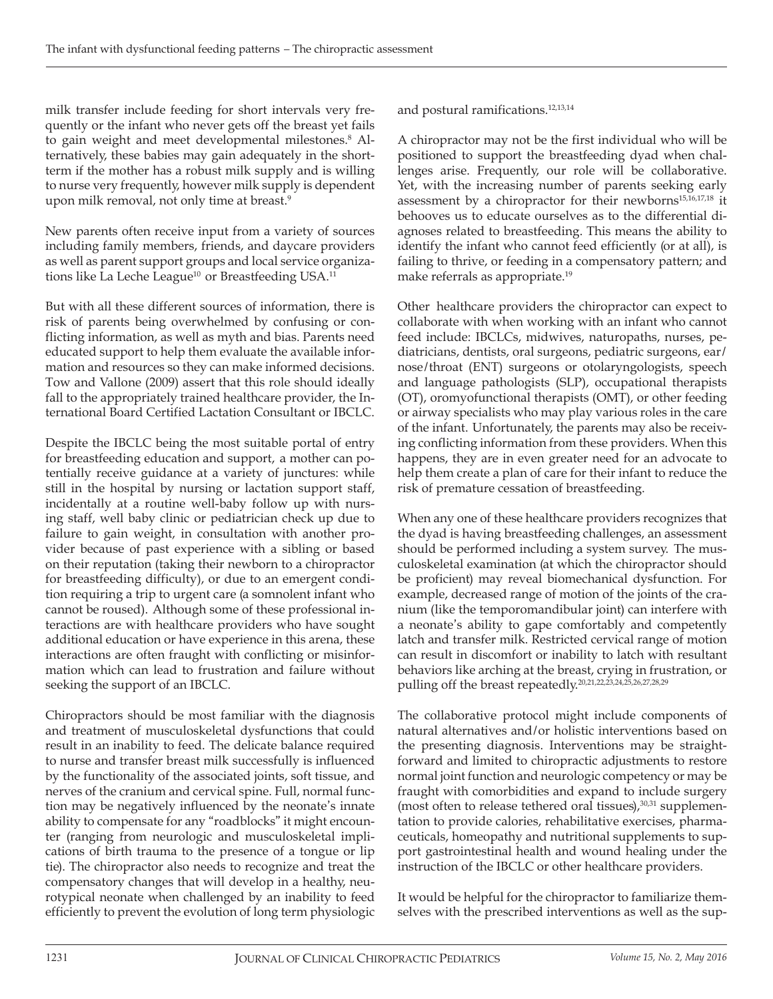milk transfer include feeding for short intervals very frequently or the infant who never gets off the breast yet fails to gain weight and meet developmental milestones.<sup>8</sup> Alternatively, these babies may gain adequately in the shortterm if the mother has a robust milk supply and is willing to nurse very frequently, however milk supply is dependent upon milk removal, not only time at breast.9

New parents often receive input from a variety of sources including family members, friends, and daycare providers as well as parent support groups and local service organizations like La Leche League<sup>10</sup> or Breastfeeding USA.<sup>11</sup>

But with all these different sources of information, there is risk of parents being overwhelmed by confusing or conflicting information, as well as myth and bias. Parents need educated support to help them evaluate the available information and resources so they can make informed decisions. Tow and Vallone (2009) assert that this role should ideally fall to the appropriately trained healthcare provider, the International Board Certified Lactation Consultant or IBCLC.

Despite the IBCLC being the most suitable portal of entry for breastfeeding education and support, a mother can potentially receive guidance at a variety of junctures: while still in the hospital by nursing or lactation support staff, incidentally at a routine well-baby follow up with nursing staff, well baby clinic or pediatrician check up due to failure to gain weight, in consultation with another provider because of past experience with a sibling or based on their reputation (taking their newborn to a chiropractor for breastfeeding difficulty), or due to an emergent condition requiring a trip to urgent care (a somnolent infant who cannot be roused). Although some of these professional interactions are with healthcare providers who have sought additional education or have experience in this arena, these interactions are often fraught with conflicting or misinformation which can lead to frustration and failure without seeking the support of an IBCLC.

Chiropractors should be most familiar with the diagnosis and treatment of musculoskeletal dysfunctions that could result in an inability to feed. The delicate balance required to nurse and transfer breast milk successfully is influenced by the functionality of the associated joints, soft tissue, and nerves of the cranium and cervical spine. Full, normal function may be negatively influenced by the neonate's innate ability to compensate for any "roadblocks" it might encounter (ranging from neurologic and musculoskeletal implications of birth trauma to the presence of a tongue or lip tie). The chiropractor also needs to recognize and treat the compensatory changes that will develop in a healthy, neurotypical neonate when challenged by an inability to feed efficiently to prevent the evolution of long term physiologic

and postural ramifications.12,13,14

A chiropractor may not be the first individual who will be positioned to support the breastfeeding dyad when challenges arise. Frequently, our role will be collaborative. Yet, with the increasing number of parents seeking early assessment by a chiropractor for their newborns<sup>15,16,17,18</sup> it behooves us to educate ourselves as to the differential diagnoses related to breastfeeding. This means the ability to identify the infant who cannot feed efficiently (or at all), is failing to thrive, or feeding in a compensatory pattern; and make referrals as appropriate.19

Other healthcare providers the chiropractor can expect to collaborate with when working with an infant who cannot feed include: IBCLCs, midwives, naturopaths, nurses, pediatricians, dentists, oral surgeons, pediatric surgeons, ear/ nose/throat (ENT) surgeons or otolaryngologists, speech and language pathologists (SLP), occupational therapists (OT), oromyofunctional therapists (OMT), or other feeding or airway specialists who may play various roles in the care of the infant. Unfortunately, the parents may also be receiving conflicting information from these providers. When this happens, they are in even greater need for an advocate to help them create a plan of care for their infant to reduce the risk of premature cessation of breastfeeding.

When any one of these healthcare providers recognizes that the dyad is having breastfeeding challenges, an assessment should be performed including a system survey. The musculoskeletal examination (at which the chiropractor should be proficient) may reveal biomechanical dysfunction. For example, decreased range of motion of the joints of the cranium (like the temporomandibular joint) can interfere with a neonate's ability to gape comfortably and competently latch and transfer milk. Restricted cervical range of motion can result in discomfort or inability to latch with resultant behaviors like arching at the breast, crying in frustration, or pulling off the breast repeatedly.20,21,22,23,24,25,26,27,28,29

The collaborative protocol might include components of natural alternatives and/or holistic interventions based on the presenting diagnosis. Interventions may be straightforward and limited to chiropractic adjustments to restore normal joint function and neurologic competency or may be fraught with comorbidities and expand to include surgery (most often to release tethered oral tissues), $30,31$  supplementation to provide calories, rehabilitative exercises, pharmaceuticals, homeopathy and nutritional supplements to support gastrointestinal health and wound healing under the instruction of the IBCLC or other healthcare providers.

It would be helpful for the chiropractor to familiarize themselves with the prescribed interventions as well as the sup-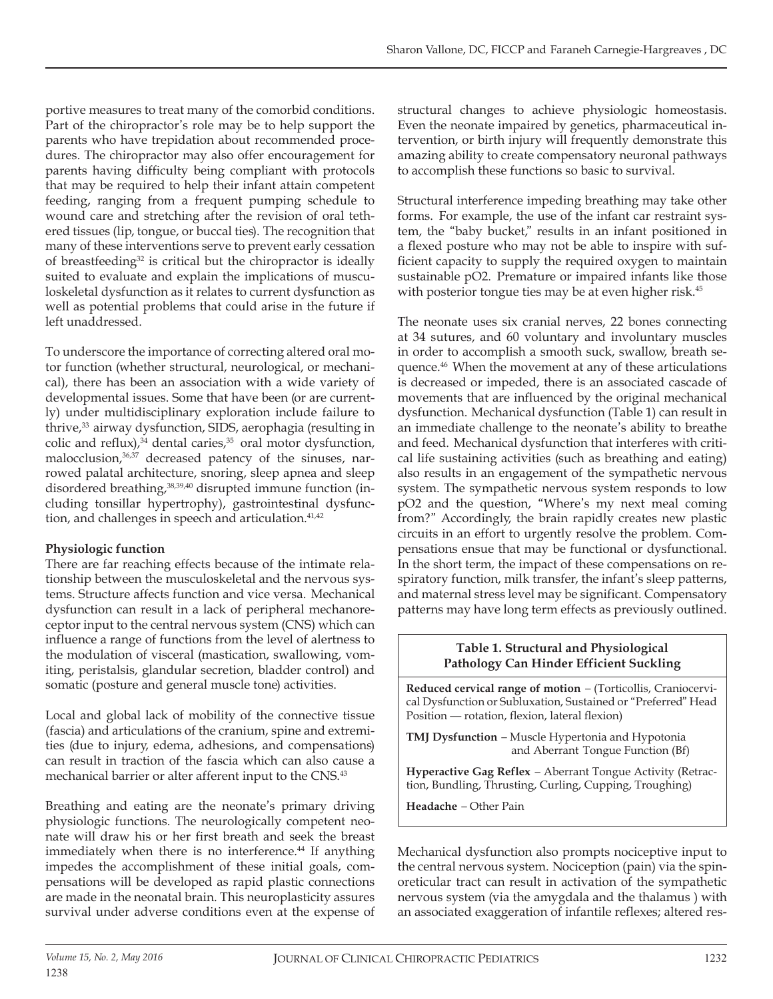portive measures to treat many of the comorbid conditions. Part of the chiropractor's role may be to help support the parents who have trepidation about recommended procedures. The chiropractor may also offer encouragement for parents having difficulty being compliant with protocols that may be required to help their infant attain competent feeding, ranging from a frequent pumping schedule to wound care and stretching after the revision of oral tethered tissues (lip, tongue, or buccal ties). The recognition that many of these interventions serve to prevent early cessation of breastfeeding<sup>32</sup> is critical but the chiropractor is ideally suited to evaluate and explain the implications of musculoskeletal dysfunction as it relates to current dysfunction as well as potential problems that could arise in the future if left unaddressed.

To underscore the importance of correcting altered oral motor function (whether structural, neurological, or mechanical), there has been an association with a wide variety of developmental issues. Some that have been (or are currently) under multidisciplinary exploration include failure to thrive,<sup>33</sup> airway dysfunction, SIDS, aerophagia (resulting in colic and reflux), $34$  dental caries, $35$  oral motor dysfunction, malocclusion,<sup>36,37</sup> decreased patency of the sinuses, narrowed palatal architecture, snoring, sleep apnea and sleep disordered breathing,<sup>38,39,40</sup> disrupted immune function (including tonsillar hypertrophy), gastrointestinal dysfunction, and challenges in speech and articulation.<sup>41,42</sup>

# **Physiologic function**

There are far reaching effects because of the intimate relationship between the musculoskeletal and the nervous systems. Structure affects function and vice versa. Mechanical dysfunction can result in a lack of peripheral mechanoreceptor input to the central nervous system (CNS) which can influence a range of functions from the level of alertness to the modulation of visceral (mastication, swallowing, vomiting, peristalsis, glandular secretion, bladder control) and somatic (posture and general muscle tone) activities.

Local and global lack of mobility of the connective tissue (fascia) and articulations of the cranium, spine and extremities (due to injury, edema, adhesions, and compensations) can result in traction of the fascia which can also cause a mechanical barrier or alter afferent input to the CNS.43

Breathing and eating are the neonate's primary driving physiologic functions. The neurologically competent neonate will draw his or her first breath and seek the breast immediately when there is no interference.<sup>44</sup> If anything impedes the accomplishment of these initial goals, compensations will be developed as rapid plastic connections are made in the neonatal brain. This neuroplasticity assures survival under adverse conditions even at the expense of

structural changes to achieve physiologic homeostasis. Even the neonate impaired by genetics, pharmaceutical intervention, or birth injury will frequently demonstrate this amazing ability to create compensatory neuronal pathways to accomplish these functions so basic to survival.

Structural interference impeding breathing may take other forms. For example, the use of the infant car restraint system, the "baby bucket," results in an infant positioned in a flexed posture who may not be able to inspire with sufficient capacity to supply the required oxygen to maintain sustainable pO2. Premature or impaired infants like those with posterior tongue ties may be at even higher risk.<sup>45</sup>

The neonate uses six cranial nerves, 22 bones connecting at 34 sutures, and 60 voluntary and involuntary muscles in order to accomplish a smooth suck, swallow, breath sequence.46 When the movement at any of these articulations is decreased or impeded, there is an associated cascade of movements that are influenced by the original mechanical dysfunction. Mechanical dysfunction (Table 1) can result in an immediate challenge to the neonate's ability to breathe and feed. Mechanical dysfunction that interferes with critical life sustaining activities (such as breathing and eating) also results in an engagement of the sympathetic nervous system. The sympathetic nervous system responds to low pO2 and the question, "Where's my next meal coming from?" Accordingly, the brain rapidly creates new plastic circuits in an effort to urgently resolve the problem. Compensations ensue that may be functional or dysfunctional. In the short term, the impact of these compensations on respiratory function, milk transfer, the infant's sleep patterns, and maternal stress level may be significant. Compensatory patterns may have long term effects as previously outlined.

# **Table 1. Structural and Physiological Pathology Can Hinder Efficient Suckling**

**Reduced cervical range of motion** — (Torticollis, Craniocervical Dysfunction or Subluxation, Sustained or "Preferred" Head Position – rotation, flexion, lateral flexion)

**TMJ Dysfunction** — Muscle Hypertonia and Hypotonia and Aberrant Tongue Function (Bf)

**Hyperactive Gag Reflex** — Aberrant Tongue Activity (Retraction, Bundling, Thrusting, Curling, Cupping, Troughing)

**Headache** — Other Pain

Mechanical dysfunction also prompts nociceptive input to the central nervous system. Nociception (pain) via the spinoreticular tract can result in activation of the sympathetic nervous system (via the amygdala and the thalamus ) with an associated exaggeration of infantile reflexes; altered res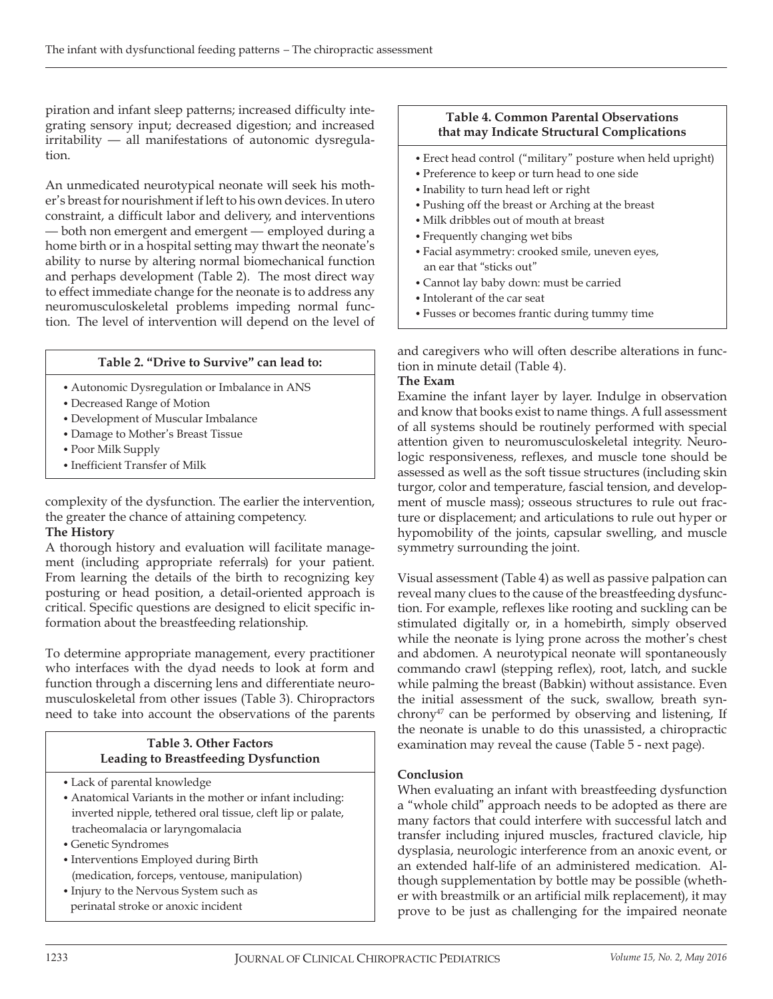piration and infant sleep patterns; increased difficulty integrating sensory input; decreased digestion; and increased irritability – all manifestations of autonomic dysregulation.

An unmedicated neurotypical neonate will seek his mother's breast for nourishment if left to his own devices. In utero constraint, a difficult labor and delivery, and interventions – both non emergent and emergent – employed during a home birth or in a hospital setting may thwart the neonate's ability to nurse by altering normal biomechanical function and perhaps development (Table 2). The most direct way to effect immediate change for the neonate is to address any neuromusculoskeletal problems impeding normal function. The level of intervention will depend on the level of

# **Table 2. "Drive to Survive" can lead to:**

- Autonomic Dysregulation or Imbalance in ANS
- Decreased Range of Motion
- Development of Muscular Imbalance
- Damage to Mother's Breast Tissue
- Poor Milk Supply
- Inefficient Transfer of Milk

complexity of the dysfunction. The earlier the intervention, the greater the chance of attaining competency.

## **The History**

A thorough history and evaluation will facilitate management (including appropriate referrals) for your patient. From learning the details of the birth to recognizing key posturing or head position, a detail-oriented approach is critical. Specific questions are designed to elicit specific information about the breastfeeding relationship.

To determine appropriate management, every practitioner who interfaces with the dyad needs to look at form and function through a discerning lens and differentiate neuromusculoskeletal from other issues (Table 3). Chiropractors need to take into account the observations of the parents

## **Table 3. Other Factors Leading to Breastfeeding Dysfunction**

- Lack of parental knowledge
- Anatomical Variants in the mother or infant including: inverted nipple, tethered oral tissue, cleft lip or palate, tracheomalacia or laryngomalacia
- Genetic Syndromes
- Interventions Employed during Birth (medication, forceps, ventouse, manipulation)
- Injury to the Nervous System such as perinatal stroke or anoxic incident

#### **Table 4. Common Parental Observations that may Indicate Structural Complications**

- Erect head control ("military" posture when held upright)
- Preference to keep or turn head to one side
- Inability to turn head left or right
- Pushing off the breast or Arching at the breast
- Milk dribbles out of mouth at breast
- Frequently changing wet bibs
- Facial asymmetry: crooked smile, uneven eyes, an ear that "sticks out"
- Cannot lay baby down: must be carried
- Intolerant of the car seat
- Fusses or becomes frantic during tummy time

and caregivers who will often describe alterations in function in minute detail (Table 4).

#### **The Exam**

Examine the infant layer by layer. Indulge in observation and know that books exist to name things. A full assessment of all systems should be routinely performed with special attention given to neuromusculoskeletal integrity. Neurologic responsiveness, reflexes, and muscle tone should be assessed as well as the soft tissue structures (including skin turgor, color and temperature, fascial tension, and development of muscle mass); osseous structures to rule out fracture or displacement; and articulations to rule out hyper or hypomobility of the joints, capsular swelling, and muscle symmetry surrounding the joint.

Visual assessment (Table 4) as well as passive palpation can reveal many clues to the cause of the breastfeeding dysfunction. For example, reflexes like rooting and suckling can be stimulated digitally or, in a homebirth, simply observed while the neonate is lying prone across the mother's chest and abdomen. A neurotypical neonate will spontaneously commando crawl (stepping reflex), root, latch, and suckle while palming the breast (Babkin) without assistance. Even the initial assessment of the suck, swallow, breath synchrony<sup>47</sup> can be performed by observing and listening, If the neonate is unable to do this unassisted, a chiropractic examination may reveal the cause (Table 5 - next page).

## **Conclusion**

When evaluating an infant with breastfeeding dysfunction a "whole child" approach needs to be adopted as there are many factors that could interfere with successful latch and transfer including injured muscles, fractured clavicle, hip dysplasia, neurologic interference from an anoxic event, or an extended half-life of an administered medication. Although supplementation by bottle may be possible (whether with breastmilk or an artificial milk replacement), it may prove to be just as challenging for the impaired neonate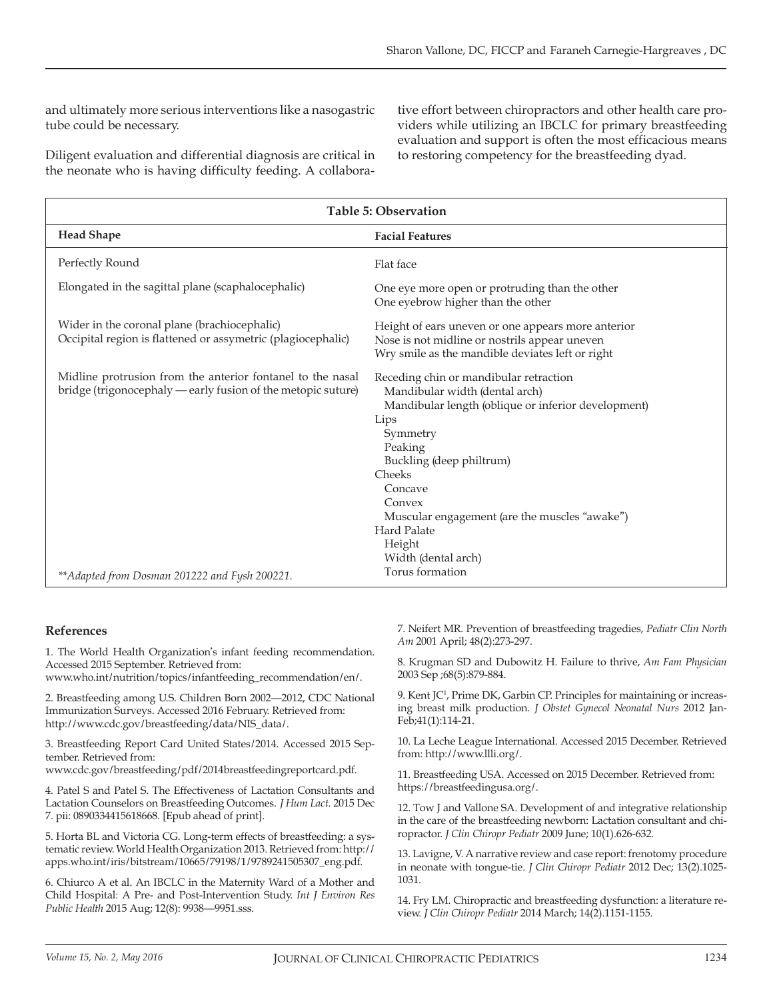and ultimately more serious interventions like a nasogastric tube could be necessary.

Diligent evaluation and differential diagnosis are critical in the neonate who is having difficulty feeding. A collaborative effort between chiropractors and other health care providers while utilizing an IBCLC for primary breastfeeding evaluation and support is often the most efficacious means to restoring competency for the breastfeeding dyad.

| Table 5: Observation                                                                                                       |                                                                                                                                                                                                                                                                                                                                   |
|----------------------------------------------------------------------------------------------------------------------------|-----------------------------------------------------------------------------------------------------------------------------------------------------------------------------------------------------------------------------------------------------------------------------------------------------------------------------------|
| <b>Head Shape</b>                                                                                                          | <b>Facial Features</b>                                                                                                                                                                                                                                                                                                            |
| Perfectly Round                                                                                                            | Flat face                                                                                                                                                                                                                                                                                                                         |
| Elongated in the sagittal plane (scaphalocephalic)                                                                         | One eye more open or protruding than the other<br>One eyebrow higher than the other                                                                                                                                                                                                                                               |
| Wider in the coronal plane (brachiocephalic)<br>Occipital region is flattened or assymetric (plagiocephalic)               | Height of ears uneven or one appears more anterior<br>Nose is not midline or nostrils appear uneven<br>Wry smile as the mandible deviates left or right                                                                                                                                                                           |
| Midline protrusion from the anterior fontanel to the nasal<br>bridge (trigonocephaly — early fusion of the metopic suture) | Receding chin or mandibular retraction<br>Mandibular width (dental arch)<br>Mandibular length (oblique or inferior development)<br>Lips<br>Symmetry<br>Peaking<br>Buckling (deep philtrum)<br>Cheeks<br>Concave<br>Convex<br>Muscular engagement (are the muscles "awake")<br><b>Hard Palate</b><br>Height<br>Width (dental arch) |
| ** Adapted from Dosman 201222 and Fysh 200221.                                                                             | Torus formation                                                                                                                                                                                                                                                                                                                   |

#### **References**

1. The World Health Organization's infant feeding recommendation. Accessed 2015 September. Retrieved from:

www.who.int/nutrition/topics/infantfeeding\_recommendation/en/.

2. Breastfeeding among U.S. Children Born 2002–2012, CDC National Immunization Surveys. Accessed 2016 February. Retrieved from: http://www.cdc.gov/breastfeeding/data/NIS\_data/.

3. Breastfeeding Report Card United States/2014. Accessed 2015 September. Retrieved from:

www.cdc.gov/breastfeeding/pdf/2014breastfeedingreportcard.pdf.

4. Patel S and Patel S. The Effectiveness of Lactation Consultants and Lactation Counselors on Breastfeeding Outcomes. *J Hum Lact*. 2015 Dec 7. pii: 0890334415618668. [Epub ahead of print].

5. Horta BL and Victoria CG. Long-term effects of breastfeeding: a systematic review. World Health Organization 2013. Retrieved from: http:// apps.who.int/iris/bitstream/10665/79198/1/9789241505307\_eng.pdf.

6. Chiurco A et al. An IBCLC in the Maternity Ward of a Mother and Child Hospital: A Pre- and Post-Intervention Study. *Int J Environ Res Public Health* 2015 Aug; 12(8): 9938–9951.sss.

7. Neifert MR. Prevention of breastfeeding tragedies, *Pediatr Clin North Am* 2001 April; 48(2):273-297.

8. Krugman SD and Dubowitz H. Failure to thrive, *Am Fam Physician* 2003 Sep ;68(5):879-884.

9. Kent JC1 , Prime DK, Garbin CP. Principles for maintaining or increasing breast milk production. *J Obstet Gynecol Neonatal Nurs* 2012 Jan-Feb;41(1):114-21.

10. La Leche League International. Accessed 2015 December. Retrieved from: http://www.llli.org/.

11. Breastfeeding USA. Accessed on 2015 December. Retrieved from: https://breastfeedingusa.org/.

12. Tow J and Vallone SA. Development of and integrative relationship in the care of the breastfeeding newborn: Lactation consultant and chiropractor. *J Clin Chiropr Pediatr* 2009 June; 10(1).626-632.

13. Lavigne, V. A narrative review and case report: frenotomy procedure in neonate with tongue-tie. *J Clin Chiropr Pediatr* 2012 Dec; 13(2).1025- 1031.

14. Fry LM. Chiropractic and breastfeeding dysfunction: a literature review. *J Clin Chiropr Pediatr* 2014 March; 14(2).1151-1155.